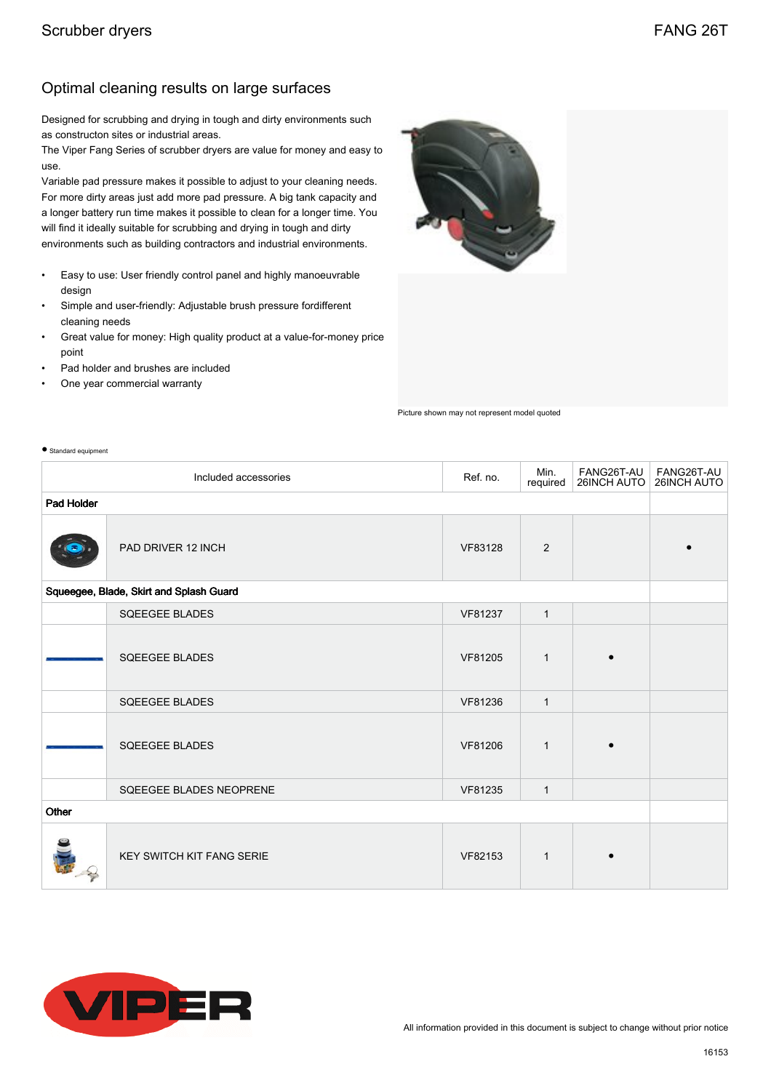## Optimal cleaning results on large surfaces

Designed for scrubbing and drying in tough and dirty environments such as constructon sites or industrial areas.

The Viper Fang Series of scrubber dryers are value for money and easy to use.

Variable pad pressure makes it possible to adjust to your cleaning needs. For more dirty areas just add more pad pressure. A big tank capacity and a longer battery run time makes it possible to clean for a longer time. You will find it ideally suitable for scrubbing and drying in tough and dirty environments such as building contractors and industrial environments.

- Easy to use: User friendly control panel and highly manoeuvrable design
- Simple and user-friendly: Adjustable brush pressure fordifferent cleaning needs
- Great value for money: High quality product at a value-for-money price point
- Pad holder and brushes are included
- One year commercial warranty

● Standard equipment



Picture shown may not represent model quoted

| Min.<br>FANG26T-AU<br>Ref. no.<br>Included accessories<br>26INCH AUTO<br>required |                                  |         |              |  | FANG26T-AU<br>26INCH AUTO |
|-----------------------------------------------------------------------------------|----------------------------------|---------|--------------|--|---------------------------|
| Pad Holder                                                                        |                                  |         |              |  |                           |
|                                                                                   | PAD DRIVER 12 INCH               | VF83128 | 2            |  |                           |
| Squeegee, Blade, Skirt and Splash Guard                                           |                                  |         |              |  |                           |
|                                                                                   | <b>SQEEGEE BLADES</b>            | VF81237 | $\mathbf{1}$ |  |                           |
|                                                                                   | SQEEGEE BLADES                   | VF81205 | $\mathbf{1}$ |  |                           |
|                                                                                   | <b>SQEEGEE BLADES</b>            | VF81236 | $\mathbf{1}$ |  |                           |
|                                                                                   | <b>SQEEGEE BLADES</b>            | VF81206 | $\mathbf{1}$ |  |                           |
|                                                                                   | SQEEGEE BLADES NEOPRENE          | VF81235 | $\mathbf{1}$ |  |                           |
| Other                                                                             |                                  |         |              |  |                           |
|                                                                                   | <b>KEY SWITCH KIT FANG SERIE</b> | VF82153 | $\mathbf{1}$ |  |                           |

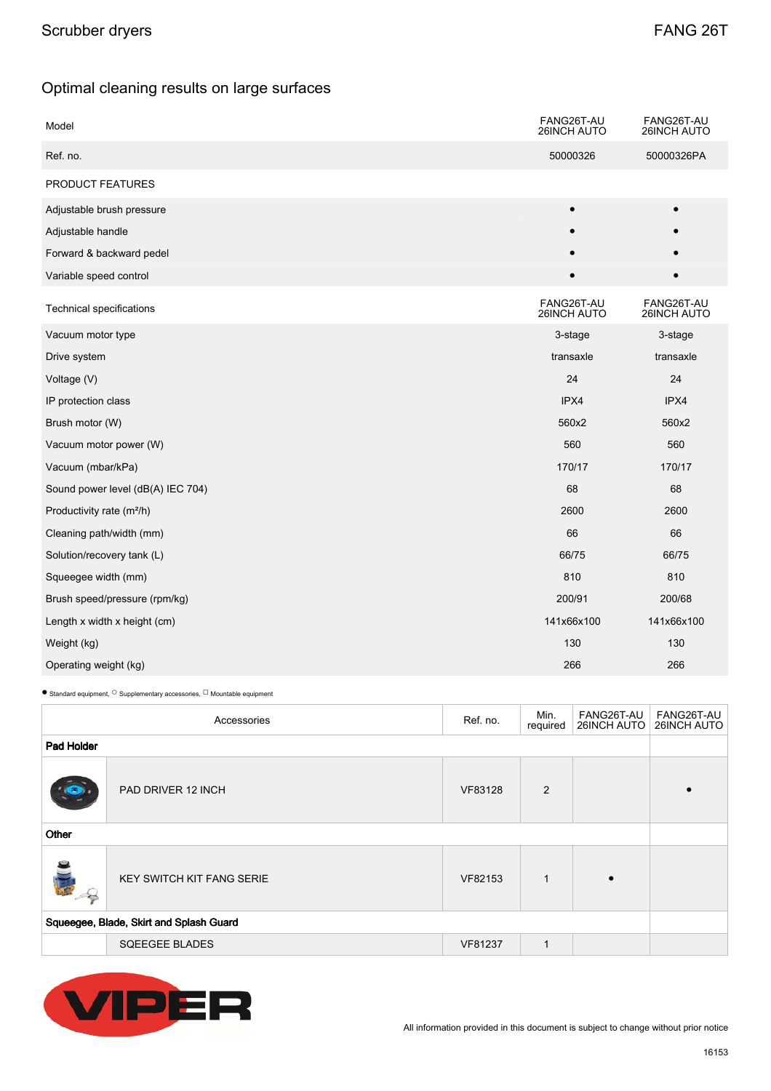## Optimal cleaning results on large surfaces

| Model                                 | FANG26T-AU<br>26INCH AUTO | FANG26T-AU<br><b>26INCH AUTO</b> |
|---------------------------------------|---------------------------|----------------------------------|
| Ref. no.                              | 50000326                  | 50000326PA                       |
| PRODUCT FEATURES                      |                           |                                  |
| Adjustable brush pressure             |                           | $\bullet$                        |
| Adjustable handle                     |                           |                                  |
| Forward & backward pedel              |                           |                                  |
| Variable speed control                |                           |                                  |
| Technical specifications              | FANG26T-AU<br>26INCH AUTO | FANG26T-AU<br>26INCH AUTO        |
| Vacuum motor type                     | 3-stage                   | 3-stage                          |
| Drive system                          | transaxle                 | transaxle                        |
| Voltage (V)                           | 24                        | 24                               |
| IP protection class                   | IPX4                      | IPX4                             |
| Brush motor (W)                       | 560x2                     | 560x2                            |
| Vacuum motor power (W)                | 560                       | 560                              |
| Vacuum (mbar/kPa)                     | 170/17                    | 170/17                           |
| Sound power level (dB(A) IEC 704)     | 68                        | 68                               |
| Productivity rate (m <sup>2</sup> /h) | 2600                      | 2600                             |
| Cleaning path/width (mm)              | 66                        | 66                               |
| Solution/recovery tank (L)            | 66/75                     | 66/75                            |
| Squeegee width (mm)                   | 810                       | 810                              |
| Brush speed/pressure (rpm/kg)         | 200/91                    | 200/68                           |
| Length x width x height (cm)          | 141x66x100                | 141x66x100                       |
| Weight (kg)                           | 130                       | 130                              |
| Operating weight (kg)                 | 266                       | 266                              |

 $\bullet$  Standard equipment,  $\circ$  Supplementary accessories,  $\Box$  Mountable equipment

| Accessories                             |                                  | Ref. no. | Min.<br>required | FANG26T-AU<br>26INCH AUTO | FANG26T-AU<br>26INCH AUTO |
|-----------------------------------------|----------------------------------|----------|------------------|---------------------------|---------------------------|
| Pad Holder                              |                                  |          |                  |                           |                           |
| $\left( \frac{\pi}{2} \right)$          | PAD DRIVER 12 INCH               | VF83128  | 2                |                           |                           |
| Other                                   |                                  |          |                  |                           |                           |
| $\frac{1}{2}$                           | <b>KEY SWITCH KIT FANG SERIE</b> | VF82153  | $\mathbf{1}$     |                           |                           |
| Squeegee, Blade, Skirt and Splash Guard |                                  |          |                  |                           |                           |
|                                         | <b>SQEEGEE BLADES</b>            | VF81237  | $\mathbf{1}$     |                           |                           |



All information provided in this document is subject to change without prior notice